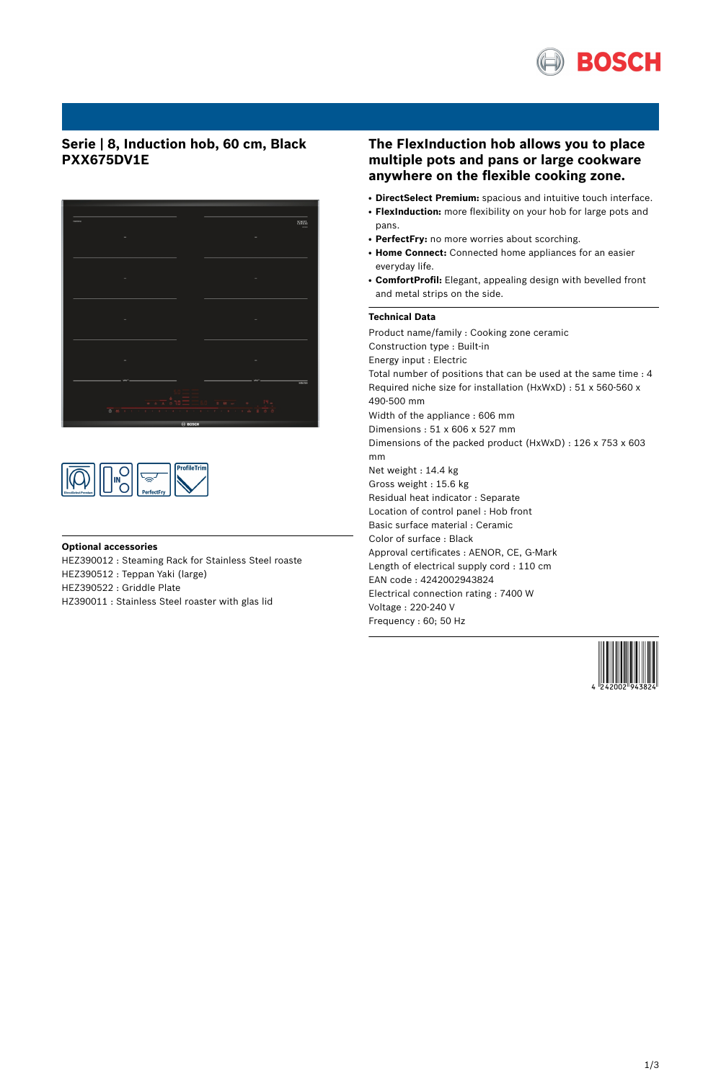

# **Serie | 8, Induction hob, 60 cm, Black PXX675DV1E**





## **Optional accessories**

HEZ390012 : Steaming Rack for Stainless Steel roaste HEZ390512 : Teppan Yaki (large)

HEZ390522 : Griddle Plate

HZ390011 : Stainless Steel roaster with glas lid

## **The FlexInduction hob allows you to place multiple pots and pans or large cookware anywhere on the flexible cooking zone.**

- **DirectSelect Premium:** spacious and intuitive touch interface.
- FlexInduction: more flexibility on your hob for large pots and pans.
- PerfectFry: no more worries about scorching.
- **Home Connect:** Connected home appliances for an easier everyday life.
- ComfortProfil: Elegant, appealing design with bevelled front and metal strips on the side.

## **Technical Data**

Product name/family : Cooking zone ceramic Construction type : Built-in Energy input : Electric Total number of positions that can be used at the same time : 4 Required niche size for installation (HxWxD) : 51 x 560-560 x 490-500 mm Width of the appliance : 606 mm Dimensions : 51 x 606 x 527 mm Dimensions of the packed product (HxWxD) : 126 x 753 x 603 mm Net weight : 14.4 kg Gross weight : 15.6 kg Residual heat indicator : Separate Location of control panel : Hob front Basic surface material : Ceramic Color of surface : Black Approval certificates : AENOR, CE, G-Mark Length of electrical supply cord : 110 cm EAN code : 4242002943824 Electrical connection rating : 7400 W Voltage : 220-240 V Frequency : 60; 50 Hz

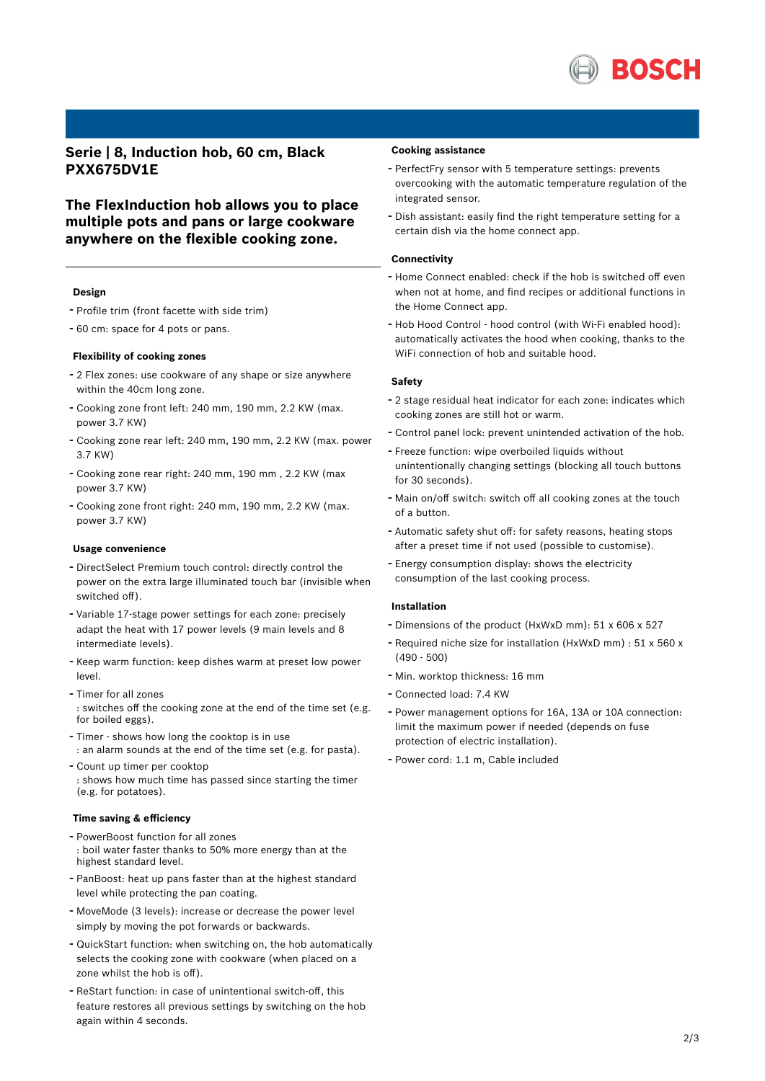

**Serie | 8, Induction hob, 60 cm, Black PXX675DV1E**

**The FlexInduction hob allows you to place multiple pots and pans or large cookware anywhere on the flexible cooking zone.**

## **Design**

- Profile trim (front facette with side trim)
- <sup>60</sup> cm: space for <sup>4</sup> pots or pans.

## **Flexibility of cooking zones**

- <sup>2</sup> Flex zones: use cookware of any shape or size anywhere within the 40cm long zone.
- Cooking zone front left: <sup>240</sup> mm, <sup>190</sup> mm, 2.2 KW (max. power 3.7 KW)
- Cooking zone rear left: <sup>240</sup> mm, <sup>190</sup> mm, 2.2 KW (max. power 3.7 KW)
- Cooking zone rear right: <sup>240</sup> mm, <sup>190</sup> mm , 2.2 KW (max power 3.7 KW)
- Cooking zone front right: <sup>240</sup> mm, <sup>190</sup> mm, 2.2 KW (max. power 3.7 KW)

#### **Usage convenience**

- DirectSelect Premium touch control: directly control the power on the extra large illuminated touch bar (invisible when switched off).
- Variable 17-stage power settings for each zone: precisely adapt the heat with 17 power levels (9 main levels and 8 intermediate levels).
- Keep warm function: keep dishes warm at preset low power level.
- Timer for all zones : switches off the cooking zone at the end of the time set (e.g. for boiled eggs).
- Timer shows how long the cooktop is in use : an alarm sounds at the end of the time set (e.g. for pasta).
- Count up timer per cooktop : shows how much time has passed since starting the timer (e.g. for potatoes).

#### **Time saving & efficiency**

- PowerBoost function for all zones : boil water faster thanks to 50% more energy than at the highest standard level.
- PanBoost: heat up pans faster than at the highest standard level while protecting the pan coating.
- MoveMode (3 levels): increase or decrease the power level simply by moving the pot forwards or backwards.
- QuickStart function: when switching on, the hob automatically selects the cooking zone with cookware (when placed on a zone whilst the hob is off).
- ReStart function: in case of unintentional switch-off, this feature restores all previous settings by switching on the hob again within 4 seconds.

## **Cooking assistance**

- PerfectFry sensor with <sup>5</sup> temperature settings: prevents overcooking with the automatic temperature regulation of the integrated sensor.
- Dish assistant: easily find the right temperature setting for <sup>a</sup> certain dish via the home connect app.

#### **Connectivity**

- Home Connect enabled: check if the hob is switched off even when not at home, and find recipes or additional functions in the Home Connect app.
- Hob Hood Control hood control (with Wi-Fi enabled hood): automatically activates the hood when cooking, thanks to the WiFi connection of hob and suitable hood.

#### **Safety**

- <sup>2</sup> stage residual heat indicator for each zone: indicates which cooking zones are still hot or warm.
- Control panel lock: prevent unintended activation of the hob.
- Freeze function: wipe overboiled liquids without unintentionally changing settings (blocking all touch buttons for 30 seconds).
- Main on/off switch: switch off all cooking zones at the touch of a button.
- Automatic safety shut off: for safety reasons, heating stops after a preset time if not used (possible to customise).
- Energy consumption display: shows the electricity consumption of the last cooking process.

#### **Installation**

- Dimensions of the product (HxWxD mm): <sup>51</sup> <sup>x</sup> <sup>606</sup> <sup>x</sup> <sup>527</sup>
- Required niche size for installation (HxWxD mm) : <sup>51</sup> <sup>x</sup> <sup>560</sup> <sup>x</sup> (490 - 500)
- Min. worktop thickness: <sup>16</sup> mm
- Connected load: 7.4 KW
- Power management options for 16A, 13A or 10A connection: limit the maximum power if needed (depends on fuse protection of electric installation).
- Power cord: 1.1 m, Cable included